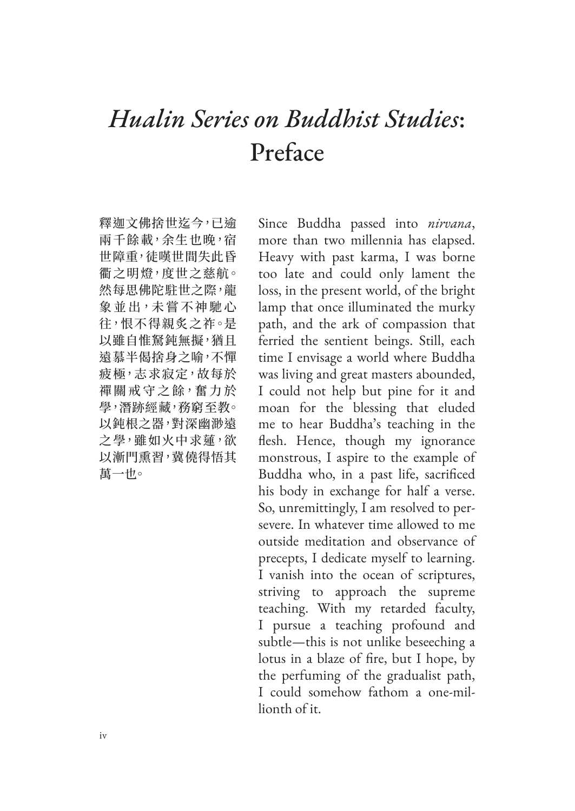## *Hualin Series on Buddhist Studies*: Preface

釋迦文佛捨世迄今,已逾 兩千餘載,余生也晚,宿 世障重,徒嘆世間失此昏 衢之明燈,度世之慈航。 然每思佛陀駐世之際,龍 象 並 出, 未 嘗 不 神 馳 心 往,恨不得親炙之祚。是 以雖自惟駑鈍無擬,猶且 遠慕半偈捨身之喻,不憚 疲極,志求寂定,故每於 禪關戒守之餘,奮力於 學,潛跡經藏,務窮至教。 以鈍根之器,對深幽渺遠 之學,雖如火中求蓮,欲 以漸門熏習,冀僥得悟其 萬一也。

Since Buddha passed into *nirvana*, more than two millennia has elapsed. Heavy with past karma, I was borne too late and could only lament the loss, in the present world, of the bright lamp that once illuminated the murky path, and the ark of compassion that ferried the sentient beings. Still, each time I envisage a world where Buddha was living and great masters abounded, I could not help but pine for it and moan for the blessing that eluded me to hear Buddha's teaching in the flesh. Hence, though my ignorance monstrous, I aspire to the example of Buddha who, in a past life, sacrificed his body in exchange for half a verse. So, unremittingly, I am resolved to persevere. In whatever time allowed to me outside meditation and observance of precepts, I dedicate myself to learning. I vanish into the ocean of scriptures, striving to approach the supreme teaching. With my retarded faculty, I pursue a teaching profound and subtle—this is not unlike beseeching a lotus in a blaze of fire, but I hope, by the perfuming of the gradualist path, I could somehow fathom a one-millionth of it.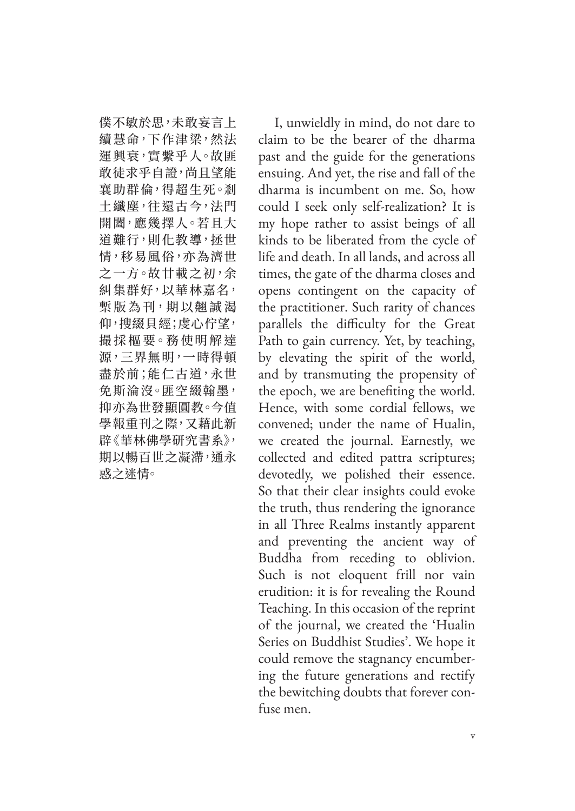僕不敏於思,未敢妄言上 續慧命,下作津梁,然法 運興衰,實繫乎人。故匪 敢徒求乎自證,尚且望能 襄助群倫,得超生死。剎 土纖塵,往還古今,法門 開闔,應幾擇人。若且大 道難行,則化教導,拯世 情,移易風俗,亦為濟世 之一方。故廿載之初,余 糾集群好,以華林嘉名, 槧 版 為 刊,期 以 翹 誠 渴 仰,搜綴貝經;虔心佇望, 撮 採 樞 要。務 使 明 解 達 源,三界無明,一時得頓 盡於前;能仁古道,永世 免斯淪沒。匪空綴翰墨, 抑亦為世發顯圓教。今值 學報重刊之際,又藉此新 辟《華林佛學研究書系》, 期以暢百世之凝滯,通永 惑之迷情。

I, unwieldly in mind, do not dare to claim to be the bearer of the dharma past and the guide for the generations ensuing. And yet, the rise and fall of the dharma is incumbent on me. So, how could I seek only self-realization? It is my hope rather to assist beings of all kinds to be liberated from the cycle of life and death. In all lands, and across all times, the gate of the dharma closes and opens contingent on the capacity of the practitioner. Such rarity of chances parallels the difficulty for the Great Path to gain currency. Yet, by teaching, by elevating the spirit of the world, and by transmuting the propensity of the epoch, we are benefiting the world. Hence, with some cordial fellows, we convened; under the name of Hualin, we created the journal. Earnestly, we collected and edited pattra scriptures; devotedly, we polished their essence. So that their clear insights could evoke the truth, thus rendering the ignorance in all Three Realms instantly apparent and preventing the ancient way of Buddha from receding to oblivion. Such is not eloquent frill nor vain erudition: it is for revealing the Round Teaching. In this occasion of the reprint of the journal, we created the 'Hualin Series on Buddhist Studies'. We hope it could remove the stagnancy encumbering the future generations and rectify the bewitching doubts that forever confuse men.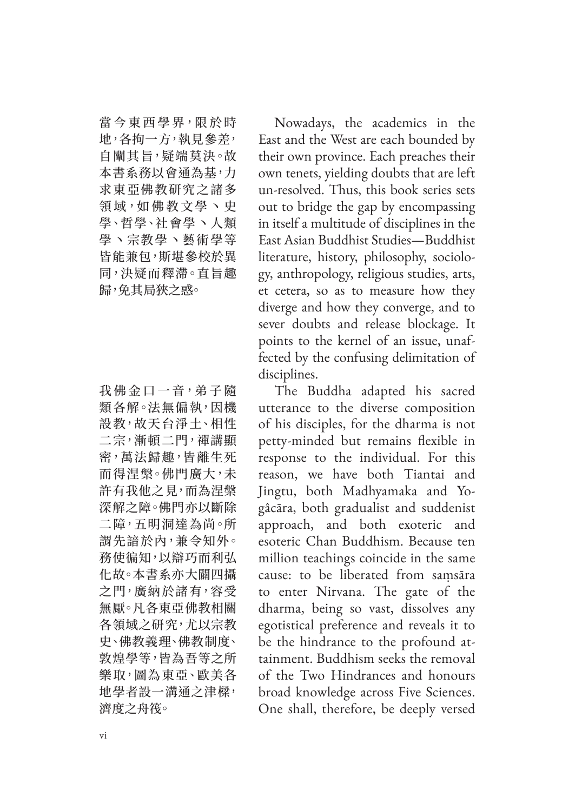當今東西學界,限於時 地,各拘一方,執見參差, 自闡其旨,疑端莫決。故 本書系務以會通為基,力 求東亞佛教研究之諸多 領域,如佛教文學丶史 學、哲學、社會學丶人類 學丶宗教學丶藝術學等 皆能兼包,斯堪參校於異 同,決疑而釋滯。直旨趣 歸,免其局狹之惑。

我佛金口一音,弟子隨 類各解。法無偏執,因機 設教,故天台淨土、相性 二宗,漸頓二門,禪講顯 密,萬法歸趣,皆離生死 而得涅槃。佛門廣大,未 許有我他之見,而為涅槃 深解之障。佛門亦以斷除 二障,五明洞達為尚。所 謂先諳於內,兼令知外。 務使徧知,以辯巧而利弘 化故。本書系亦大闢四攝 之門,廣納於諸有,容受 無厭。凡各東亞佛教相關 各領域之研究,尤以宗教 史、佛教義理、佛教制度、 敦煌學等,皆為吾等之所 樂取,圖為東亞、歐美各 地學者設一溝通之津樑, 濟度之舟筏。

Nowadays, the academics in the East and the West are each bounded by their own province. Each preaches their own tenets, yielding doubts that are left un-resolved. Thus, this book series sets out to bridge the gap by encompassing in itself a multitude of disciplines in the East Asian Buddhist Studies—Buddhist literature, history, philosophy, sociology, anthropology, religious studies, arts, et cetera, so as to measure how they diverge and how they converge, and to sever doubts and release blockage. It points to the kernel of an issue, unaffected by the confusing delimitation of disciplines.

The Buddha adapted his sacred utterance to the diverse composition of his disciples, for the dharma is not petty-minded but remains flexible in response to the individual. For this reason, we have both Tiantai and Jingtu, both Madhyamaka and Yogâcāra, both gradualist and suddenist approach, and both exoteric and esoteric Chan Buddhism. Because ten million teachings coincide in the same cause: to be liberated from saṃsāra to enter Nirvana. The gate of the dharma, being so vast, dissolves any egotistical preference and reveals it to be the hindrance to the profound attainment. Buddhism seeks the removal of the Two Hindrances and honours broad knowledge across Five Sciences. One shall, therefore, be deeply versed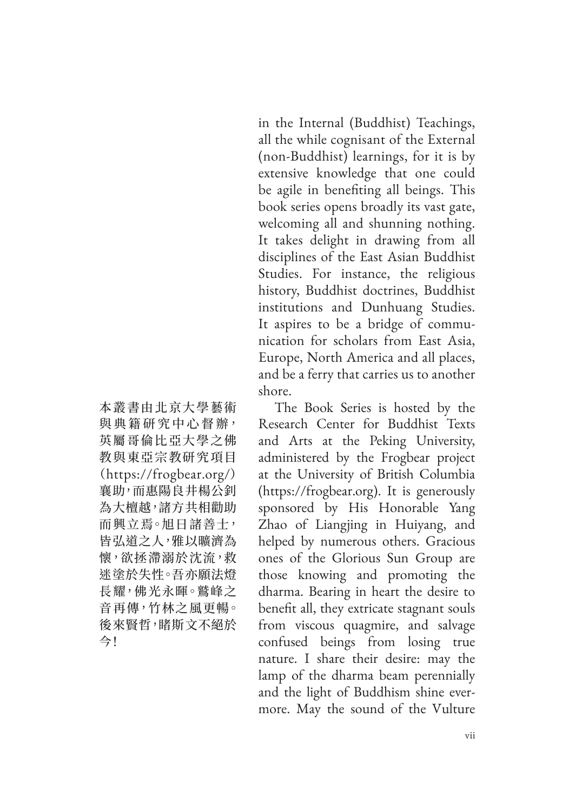in the Internal (Buddhist) Teachings, all the while cognisant of the External (non-Buddhist) learnings, for it is by extensive knowledge that one could be agile in benefiting all beings. This book series opens broadly its vast gate, welcoming all and shunning nothing. It takes delight in drawing from all disciplines of the East Asian Buddhist Studies. For instance, the religious history, Buddhist doctrines, Buddhist institutions and Dunhuang Studies. It aspires to be a bridge of communication for scholars from East Asia, Europe, North America and all places, and be a ferry that carries us to another shore.

The Book Series is hosted by the Research Center for Buddhist Texts and Arts at the Peking University, administered by the Frogbear project at the University of British Columbia (https://frogbear.org). It is generously sponsored by His Honorable Yang Zhao of Liangjing in Huiyang, and helped by numerous others. Gracious ones of the Glorious Sun Group are those knowing and promoting the dharma. Bearing in heart the desire to benefit all, they extricate stagnant souls from viscous quagmire, and salvage confused beings from losing true nature. I share their desire: may the lamp of the dharma beam perennially and the light of Buddhism shine evermore. May the sound of the Vulture

本叢書由北京大學藝術 與 典 籍 研 究 中 心 督 辦, 英屬哥倫比亞大學之佛 教與東亞宗教研究項目 (https://frogbear.org/) 襄助,而惠陽良井楊公釗 為大檀越,諸方共相勸助 而興立焉。旭日諸善士, 皆弘道之人,雅以曠濟為 懷,欲拯滯溺於沈流,救 迷塗於失性。吾亦願法燈 長耀,佛光永暉。鷲峰之 音再傳,竹林之風更暢。 後來賢哲,睹斯文不絕於 今!